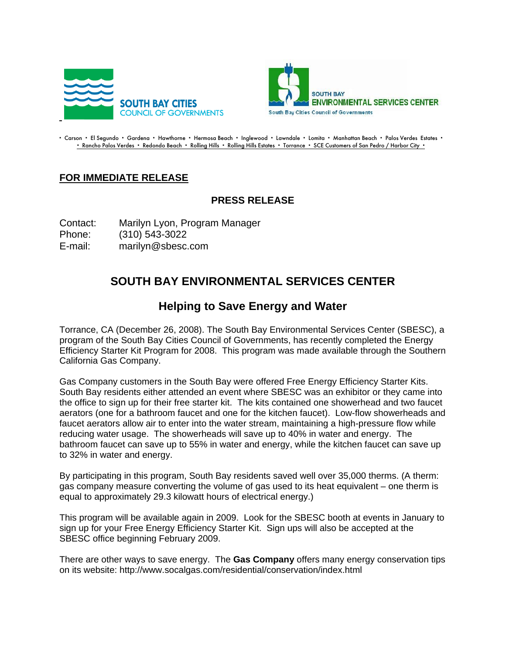



- Carson - El Segundo - Gardena - Hawthorne - Hermosa Beach - Inglewood - Lawndale - Lomita - Manhattan Beach - Palos Verdes Estates -- Rancho Palos Verdes - Redondo Beach - Rolling Hills - Rolling Hills Estates - Torrance - SCE Customers of San Pedro / Harbor City -

## **FOR IMMEDIATE RELEASE**

## **PRESS RELEASE**

Contact: Marilyn Lyon, Program Manager Phone: (310) 543-3022 E-mail: marilyn@sbesc.com

## **SOUTH BAY ENVIRONMENTAL SERVICES CENTER**

## **Helping to Save Energy and Water**

Torrance, CA (December 26, 2008). The South Bay Environmental Services Center (SBESC), a program of the South Bay Cities Council of Governments, has recently completed the Energy Efficiency Starter Kit Program for 2008. This program was made available through the Southern California Gas Company.

Gas Company customers in the South Bay were offered Free Energy Efficiency Starter Kits. South Bay residents either attended an event where SBESC was an exhibitor or they came into the office to sign up for their free starter kit. The kits contained one showerhead and two faucet aerators (one for a bathroom faucet and one for the kitchen faucet). Low-flow showerheads and faucet aerators allow air to enter into the water stream, maintaining a high-pressure flow while reducing water usage. The showerheads will save up to 40% in water and energy. The bathroom faucet can save up to 55% in water and energy, while the kitchen faucet can save up to 32% in water and energy.

By participating in this program, South Bay residents saved well over 35,000 therms. (A therm: gas company measure converting the volume of gas used to its heat equivalent – one therm is equal to approximately 29.3 kilowatt hours of electrical energy.)

This program will be available again in 2009. Look for the SBESC booth at events in January to sign up for your Free Energy Efficiency Starter Kit. Sign ups will also be accepted at the SBESC office beginning February 2009.

There are other ways to save energy. The **Gas Company** offers many energy conservation tips on its website: http://www.socalgas.com/residential/conservation/index.html